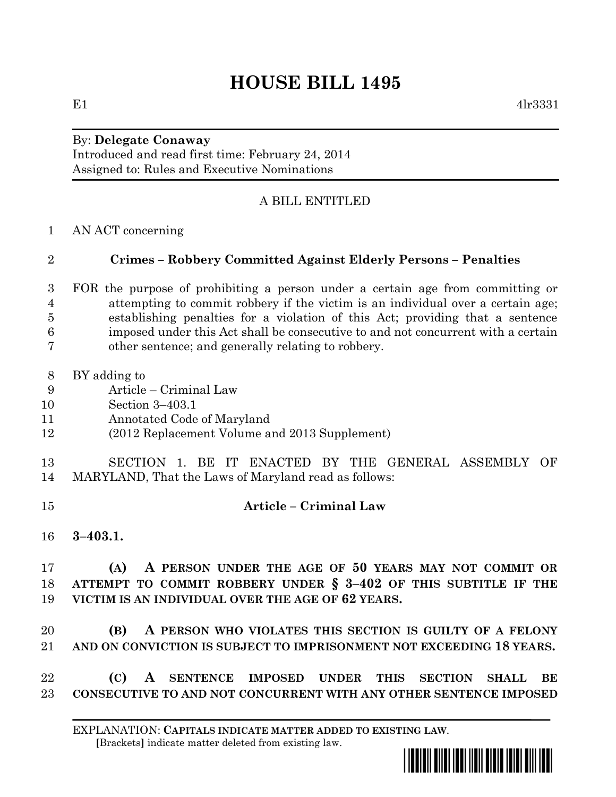## **HOUSE BILL 1495**

## By: **Delegate Conaway**

Introduced and read first time: February 24, 2014 Assigned to: Rules and Executive Nominations

## A BILL ENTITLED

AN ACT concerning

## **Crimes – Robbery Committed Against Elderly Persons – Penalties**

- FOR the purpose of prohibiting a person under a certain age from committing or attempting to commit robbery if the victim is an individual over a certain age; establishing penalties for a violation of this Act; providing that a sentence imposed under this Act shall be consecutive to and not concurrent with a certain other sentence; and generally relating to robbery.
- BY adding to
- Article Criminal Law
- Section 3–403.1
- Annotated Code of Maryland
- (2012 Replacement Volume and 2013 Supplement)
- SECTION 1. BE IT ENACTED BY THE GENERAL ASSEMBLY OF MARYLAND, That the Laws of Maryland read as follows:
- **Article – Criminal Law**
- **3–403.1.**

 **(A) A PERSON UNDER THE AGE OF 50 YEARS MAY NOT COMMIT OR ATTEMPT TO COMMIT ROBBERY UNDER § 3–402 OF THIS SUBTITLE IF THE VICTIM IS AN INDIVIDUAL OVER THE AGE OF 62 YEARS.**

 **(B) A PERSON WHO VIOLATES THIS SECTION IS GUILTY OF A FELONY AND ON CONVICTION IS SUBJECT TO IMPRISONMENT NOT EXCEEDING 18 YEARS.**

 **(C) A SENTENCE IMPOSED UNDER THIS SECTION SHALL BE CONSECUTIVE TO AND NOT CONCURRENT WITH ANY OTHER SENTENCE IMPOSED**